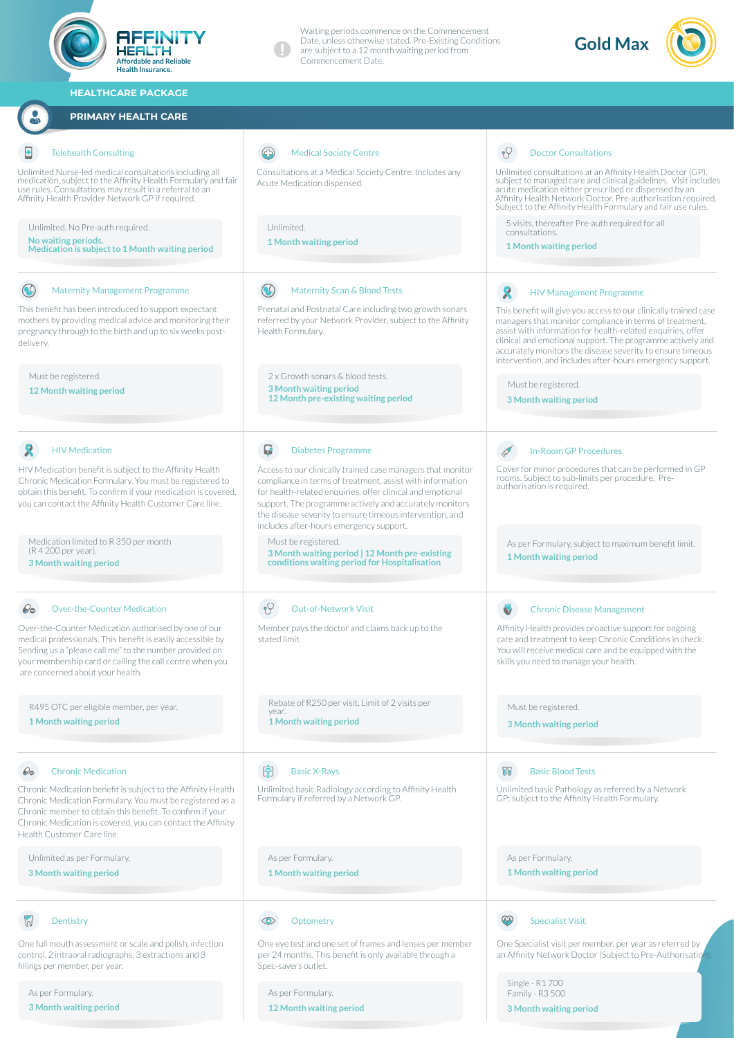

**3 Month waiting period**

**12 Month waiting period**

**3 Month waiting period**